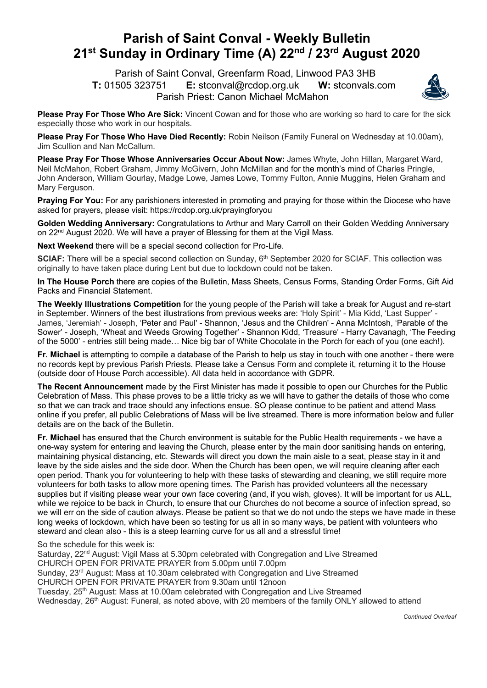## **Parish of Saint Conval - Weekly Bulletin 21st Sunday in Ordinary Time (A) 22nd / 23rd August 2020**

 Parish of Saint Conval, Greenfarm Road, Linwood PA3 3HB **T:** 01505 323751 **E:** stconval@rcdop.org.uk **W:** stconvals.com Parish Priest: Canon Michael McMahon



**Please Pray For Those Who Are Sick:** Vincent Cowan and for those who are working so hard to care for the sick especially those who work in our hospitals.

**Please Pray For Those Who Have Died Recently:** Robin Neilson (Family Funeral on Wednesday at 10.00am), Jim Scullion and Nan McCallum.

**Please Pray For Those Whose Anniversaries Occur About Now:** James Whyte, John Hillan, Margaret Ward, Neil McMahon, Robert Graham, Jimmy McGivern, John McMillan and for the month's mind of Charles Pringle, John Anderson, William Gourlay, Madge Lowe, James Lowe, Tommy Fulton, Annie Muggins, Helen Graham and Mary Ferguson.

**Praying For You:** For any parishioners interested in promoting and praying for those within the Diocese who have asked for prayers, please visit: https://rcdop.org.uk/prayingforyou

**Golden Wedding Anniversary:** Congratulations to Arthur and Mary Carroll on their Golden Wedding Anniversary on 22<sup>nd</sup> August 2020. We will have a prayer of Blessing for them at the Vigil Mass.

**Next Weekend** there will be a special second collection for Pro-Life.

**SCIAF:** There will be a special second collection on Sunday, 6<sup>th</sup> September 2020 for SCIAF. This collection was originally to have taken place during Lent but due to lockdown could not be taken.

**In The House Porch** there are copies of the Bulletin, Mass Sheets, Census Forms, Standing Order Forms, Gift Aid Packs and Financial Statement.

**The Weekly Illustrations Competition** for the young people of the Parish will take a break for August and re-start in September. Winners of the best illustrations from previous weeks are: 'Holy Spirit' - Mia Kidd, 'Last Supper' - James, 'Jeremiah' - Joseph, 'Peter and Paul' - Shannon, 'Jesus and the Children' - Anna McIntosh, 'Parable of the Sower' - Joseph, 'Wheat and Weeds Growing Together' - Shannon Kidd, 'Treasure' - Harry Cavanagh, 'The Feeding of the 5000' - entries still being made… Nice big bar of White Chocolate in the Porch for each of you (one each!).

**Fr. Michael** is attempting to compile a database of the Parish to help us stay in touch with one another - there were no records kept by previous Parish Priests. Please take a Census Form and complete it, returning it to the House (outside door of House Porch accessible). All data held in accordance with GDPR.

**The Recent Announcement** made by the First Minister has made it possible to open our Churches for the Public Celebration of Mass. This phase proves to be a little tricky as we will have to gather the details of those who come so that we can track and trace should any infections ensue. SO please continue to be patient and attend Mass online if you prefer, all public Celebrations of Mass will be live streamed. There is more information below and fuller details are on the back of the Bulletin.

**Fr. Michael** has ensured that the Church environment is suitable for the Public Health requirements - we have a one-way system for entering and leaving the Church, please enter by the main door sanitising hands on entering, maintaining physical distancing, etc. Stewards will direct you down the main aisle to a seat, please stay in it and leave by the side aisles and the side door. When the Church has been open, we will require cleaning after each open period. Thank you for volunteering to help with these tasks of stewarding and cleaning, we still require more volunteers for both tasks to allow more opening times. The Parish has provided volunteers all the necessary supplies but if visiting please wear your own face covering (and, if you wish, gloves). It will be important for us ALL, while we rejoice to be back in Church, to ensure that our Churches do not become a source of infection spread, so we will err on the side of caution always. Please be patient so that we do not undo the steps we have made in these long weeks of lockdown, which have been so testing for us all in so many ways, be patient with volunteers who steward and clean also - this is a steep learning curve for us all and a stressful time!

So the schedule for this week is:

Saturday, 22<sup>nd</sup> August: Vigil Mass at 5.30pm celebrated with Congregation and Live Streamed CHURCH OPEN FOR PRIVATE PRAYER from 5.00pm until 7.00pm Sunday, 23rd August: Mass at 10.30am celebrated with Congregation and Live Streamed CHURCH OPEN FOR PRIVATE PRAYER from 9.30am until 12noon Tuesday, 25th August: Mass at 10.00am celebrated with Congregation and Live Streamed Wednesday, 26<sup>th</sup> August: Funeral, as noted above, with 20 members of the family ONLY allowed to attend

*Continued Overleaf*